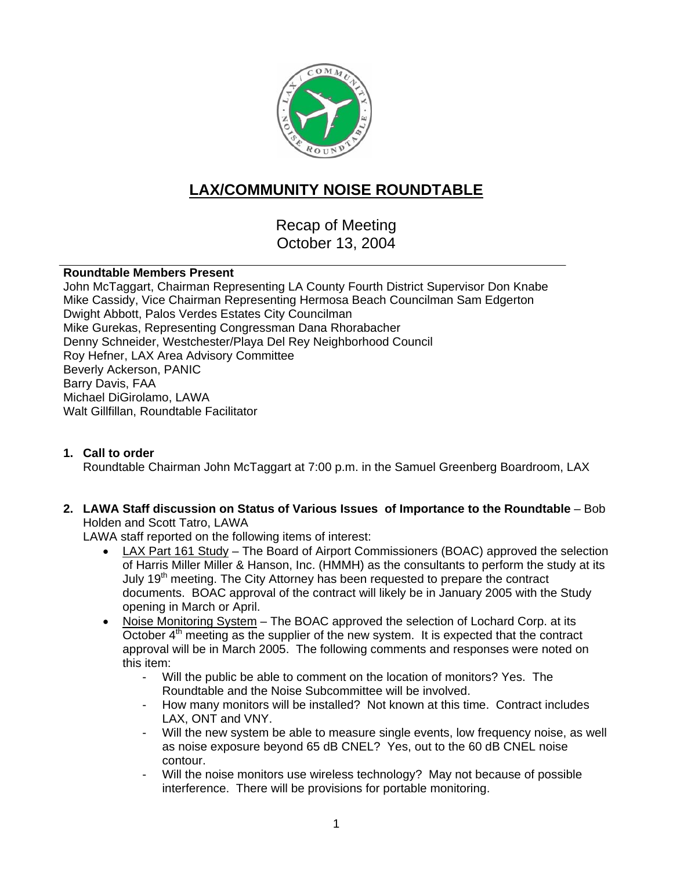

# **LAX/COMMUNITY NOISE ROUNDTABLE**

Recap of Meeting October 13, 2004

### **Roundtable Members Present**

John McTaggart, Chairman Representing LA County Fourth District Supervisor Don Knabe Mike Cassidy, Vice Chairman Representing Hermosa Beach Councilman Sam Edgerton Dwight Abbott, Palos Verdes Estates City Councilman Mike Gurekas, Representing Congressman Dana Rhorabacher Denny Schneider, Westchester/Playa Del Rey Neighborhood Council Roy Hefner, LAX Area Advisory Committee Beverly Ackerson, PANIC Barry Davis, FAA Michael DiGirolamo, LAWA Walt Gillfillan, Roundtable Facilitator

### **1. Call to order**

Roundtable Chairman John McTaggart at 7:00 p.m. in the Samuel Greenberg Boardroom, LAX

**2. LAWA Staff discussion on Status of Various Issues of Importance to the Roundtable** – Bob Holden and Scott Tatro, LAWA

LAWA staff reported on the following items of interest:

- LAX Part 161 Study The Board of Airport Commissioners (BOAC) approved the selection of Harris Miller Miller & Hanson, Inc. (HMMH) as the consultants to perform the study at its July  $19<sup>th</sup>$  meeting. The City Attorney has been requested to prepare the contract documents. BOAC approval of the contract will likely be in January 2005 with the Study opening in March or April.
- Noise Monitoring System The BOAC approved the selection of Lochard Corp. at its October  $4<sup>th</sup>$  meeting as the supplier of the new system. It is expected that the contract approval will be in March 2005. The following comments and responses were noted on this item:
	- Will the public be able to comment on the location of monitors? Yes. The Roundtable and the Noise Subcommittee will be involved.
	- How many monitors will be installed? Not known at this time. Contract includes LAX, ONT and VNY.
	- Will the new system be able to measure single events, low frequency noise, as well as noise exposure beyond 65 dB CNEL? Yes, out to the 60 dB CNEL noise contour.
	- Will the noise monitors use wireless technology? May not because of possible interference. There will be provisions for portable monitoring.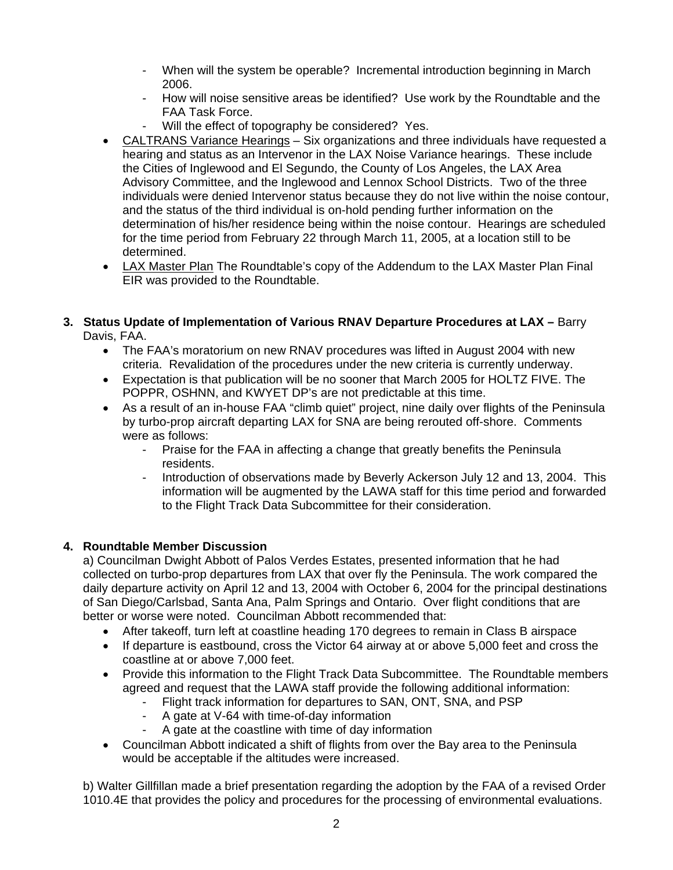- When will the system be operable? Incremental introduction beginning in March 2006.
- How will noise sensitive areas be identified? Use work by the Roundtable and the FAA Task Force.
- Will the effect of topography be considered? Yes.
- CALTRANS Variance Hearings Six organizations and three individuals have requested a hearing and status as an Intervenor in the LAX Noise Variance hearings. These include the Cities of Inglewood and El Segundo, the County of Los Angeles, the LAX Area Advisory Committee, and the Inglewood and Lennox School Districts. Two of the three individuals were denied Intervenor status because they do not live within the noise contour, and the status of the third individual is on-hold pending further information on the determination of his/her residence being within the noise contour. Hearings are scheduled for the time period from February 22 through March 11, 2005, at a location still to be determined.
- LAX Master Plan The Roundtable's copy of the Addendum to the LAX Master Plan Final EIR was provided to the Roundtable.

## **3. Status Update of Implementation of Various RNAV Departure Procedures at LAX –** Barry

Davis, FAA.

- The FAA's moratorium on new RNAV procedures was lifted in August 2004 with new criteria. Revalidation of the procedures under the new criteria is currently underway.
- Expectation is that publication will be no sooner that March 2005 for HOLTZ FIVE. The POPPR, OSHNN, and KWYET DP's are not predictable at this time.
- As a result of an in-house FAA "climb quiet" project, nine daily over flights of the Peninsula by turbo-prop aircraft departing LAX for SNA are being rerouted off-shore. Comments were as follows:
	- Praise for the FAA in affecting a change that greatly benefits the Peninsula residents.
	- Introduction of observations made by Beverly Ackerson July 12 and 13, 2004. This information will be augmented by the LAWA staff for this time period and forwarded to the Flight Track Data Subcommittee for their consideration.

### **4. Roundtable Member Discussion**

a) Councilman Dwight Abbott of Palos Verdes Estates, presented information that he had collected on turbo-prop departures from LAX that over fly the Peninsula. The work compared the daily departure activity on April 12 and 13, 2004 with October 6, 2004 for the principal destinations of San Diego/Carlsbad, Santa Ana, Palm Springs and Ontario. Over flight conditions that are better or worse were noted. Councilman Abbott recommended that:

- After takeoff, turn left at coastline heading 170 degrees to remain in Class B airspace
- If departure is eastbound, cross the Victor 64 airway at or above 5,000 feet and cross the coastline at or above 7,000 feet.
- Provide this information to the Flight Track Data Subcommittee. The Roundtable members agreed and request that the LAWA staff provide the following additional information:
	- Flight track information for departures to SAN, ONT, SNA, and PSP
	- A gate at V-64 with time-of-day information
	- A gate at the coastline with time of day information
- Councilman Abbott indicated a shift of flights from over the Bay area to the Peninsula would be acceptable if the altitudes were increased.

b) Walter Gillfillan made a brief presentation regarding the adoption by the FAA of a revised Order 1010.4E that provides the policy and procedures for the processing of environmental evaluations.